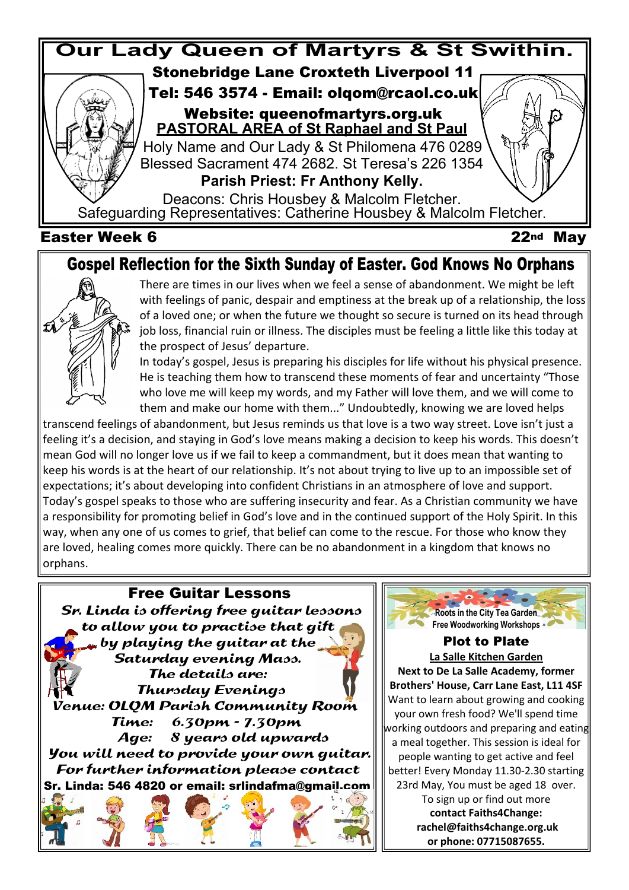

## **Gospel Reflection for the Sixth Sunday of Easter. God Knows No Orphans**



There are times in our lives when we feel a sense of abandonment. We might be left with feelings of panic, despair and emptiness at the break up of a relationship, the loss of a loved one; or when the future we thought so secure is turned on its head through job loss, financial ruin or illness. The disciples must be feeling a little like this today at the prospect of Jesus' departure.

In today's gospel, Jesus is preparing his disciples for life without his physical presence. He is teaching them how to transcend these moments of fear and uncertainty "Those who love me will keep my words, and my Father will love them, and we will come to them and make our home with them..." Undoubtedly, knowing we are loved helps

transcend feelings of abandonment, but Jesus reminds us that love is a two way street. Love isn't just a feeling it's a decision, and staying in God's love means making a decision to keep his words. This doesn't mean God will no longer love us if we fail to keep a commandment, but it does mean that wanting to keep his words is at the heart of our relationship. It's not about trying to live up to an impossible set of expectations; it's about developing into confident Christians in an atmosphere of love and support. Today's gospel speaks to those who are suffering insecurity and fear. As a Christian community we have a responsibility for promoting belief in God's love and in the continued support of the Holy Spirit. In this way, when any one of us comes to grief, that belief can come to the rescue. For those who know they are loved, healing comes more quickly. There can be no abandonment in a kingdom that knows no orphans.





**Plot to Plate La Salle Kitchen Garden Next to De La Salle Academy, former Brothers' House, Carr Lane East, L11 4SF** Want to learn about growing and cooking your own fresh food? We'll spend time working outdoors and preparing and eating a meal together. This session is ideal for people wanting to get active and feel better! Every Monday 11.30-2.30 starting 23rd May, You must be aged 18 over. To sign up or find out more **contact Faiths4Change: rachel@faiths4change.org.uk or phone: 07715087655.**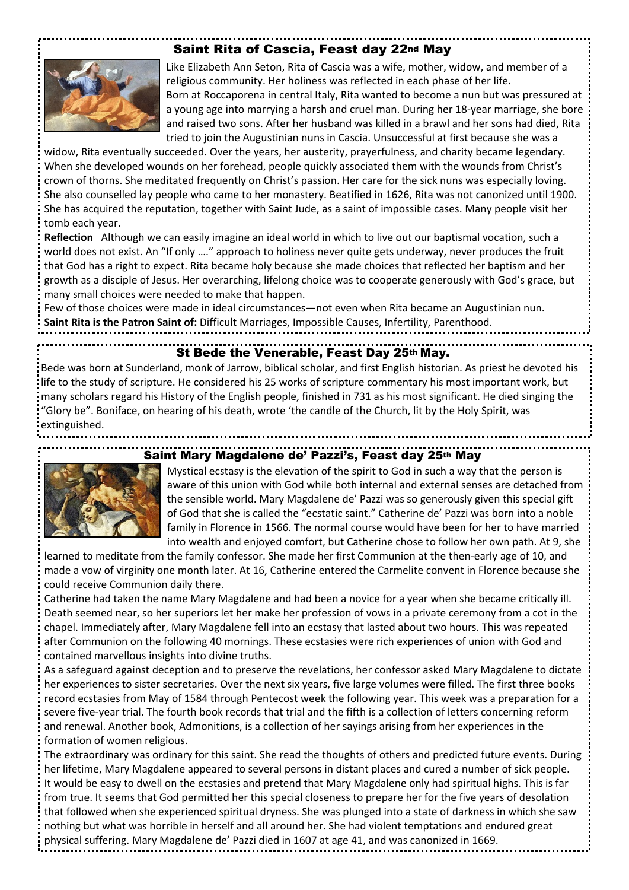## **Saint Rita of Cascia, Feast day 22nd May**



Like Elizabeth Ann Seton, Rita of Cascia was a wife, mother, widow, and member of a religious community. Her holiness was reflected in each phase of her life. Born at Roccaporena in central Italy, Rita wanted to become a nun but was pressured at a young age into marrying a harsh and cruel man. During her 18-year marriage, she bore and raised two sons. After her husband was killed in a brawl and her sons had died, Rita tried to join the Augustinian nuns in Cascia. Unsuccessful at first because she was a

widow, Rita eventually succeeded. Over the years, her austerity, prayerfulness, and charity became legendary. When she developed wounds on her forehead, people quickly associated them with the wounds from Christ's crown of thorns. She meditated frequently on Christ's passion. Her care for the sick nuns was especially loving. She also counselled lay people who came to her monastery. Beatified in 1626, Rita was not canonized until 1900. She has acquired the reputation, together with Saint Jude, as a saint of impossible cases. Many people visit her tomb each year.

**Reflection** Although we can easily imagine an ideal world in which to live out our baptismal vocation, such a world does not exist. An "If only …." approach to holiness never quite gets underway, never produces the fruit that God has a right to expect. Rita became holy because she made choices that reflected her baptism and her growth as a disciple of Jesus. Her overarching, lifelong choice was to cooperate generously with God's grace, but many small choices were needed to make that happen.

Few of those choices were made in ideal circumstances—not even when Rita became an Augustinian nun. **Saint Rita is the Patron Saint of:** Difficult Marriages, Impossible Causes, Infertility, Parenthood.

## **St Bede the Venerable, Feast Day 25th May.**

Bede was born at Sunderland, monk of Jarrow, biblical scholar, and first English historian. As priest he devoted his life to the study of scripture. He considered his 25 works of scripture commentary his most important work, but many scholars regard his History of the English people, finished in 731 as his most significant. He died singing the "Glory be". Boniface, on hearing of his death, wrote 'the candle of the Church, lit by the Holy Spirit, was extinguished.



## **Saint Mary Magdalene de' Pazzi's, Feast day 25th May**

Mystical ecstasy is the elevation of the spirit to God in such a way that the person is aware of this union with God while both internal and external senses are detached from the sensible world. Mary Magdalene de' Pazzi was so generously given this special gift of God that she is called the "ecstatic saint." Catherine de' Pazzi was born into a noble family in Florence in 1566. The normal course would have been for her to have married into wealth and enjoyed comfort, but Catherine chose to follow her own path. At 9, she

learned to meditate from the family confessor. She made her first Communion at the then-early age of 10, and made a vow of virginity one month later. At 16, Catherine entered the Carmelite convent in Florence because she could receive Communion daily there.

Catherine had taken the name Mary Magdalene and had been a novice for a year when she became critically ill. Death seemed near, so her superiors let her make her profession of vows in a private ceremony from a cot in the chapel. Immediately after, Mary Magdalene fell into an ecstasy that lasted about two hours. This was repeated after Communion on the following 40 mornings. These ecstasies were rich experiences of union with God and contained marvellous insights into divine truths.

As a safeguard against deception and to preserve the revelations, her confessor asked Mary Magdalene to dictate her experiences to sister secretaries. Over the next six years, five large volumes were filled. The first three books record ecstasies from May of 1584 through Pentecost week the following year. This week was a preparation for a severe five-year trial. The fourth book records that trial and the fifth is a collection of letters concerning reform and renewal. Another book, Admonitions, is a collection of her sayings arising from her experiences in the formation of women religious.

The extraordinary was ordinary for this saint. She read the thoughts of others and predicted future events. During her lifetime, Mary Magdalene appeared to several persons in distant places and cured a number of sick people. It would be easy to dwell on the ecstasies and pretend that Mary Magdalene only had spiritual highs. This is far from true. It seems that God permitted her this special closeness to prepare her for the five years of desolation that followed when she experienced spiritual dryness. She was plunged into a state of darkness in which she saw nothing but what was horrible in herself and all around her. She had violent temptations and endured great physical suffering. Mary Magdalene de' Pazzi died in 1607 at age 41, and was canonized in 1669.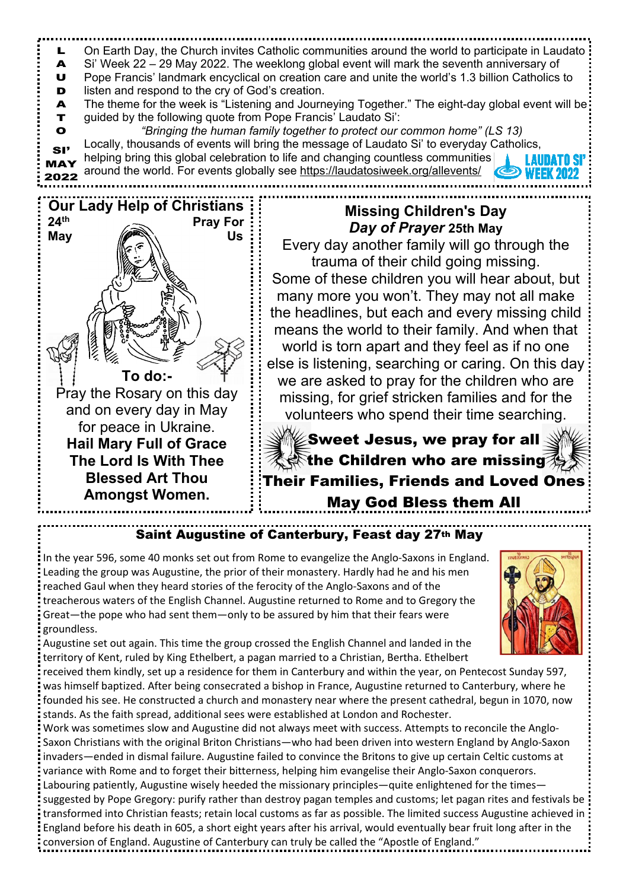

## **Saint Augustine of Canterbury, Feast day 27th May**

In the year 596, some 40 monks set out from Rome to evangelize the Anglo-Saxons in England. Leading the group was Augustine, the prior of their monastery. Hardly had he and his men reached Gaul when they heard stories of the ferocity of the Anglo-Saxons and of the treacherous waters of the English Channel. Augustine returned to Rome and to Gregory the Great—the pope who had sent them—only to be assured by him that their fears were groundless.



Augustine set out again. This time the group crossed the English Channel and landed in the territory of Kent, ruled by King Ethelbert, a pagan married to a Christian, Bertha. Ethelbert

received them kindly, set up a residence for them in Canterbury and within the year, on Pentecost Sunday 597, was himself baptized. After being consecrated a bishop in France, Augustine returned to Canterbury, where he founded his see. He constructed a church and monastery near where the present cathedral, begun in 1070, now stands. As the faith spread, additional sees were established at London and Rochester.

Work was sometimes slow and Augustine did not always meet with success. Attempts to reconcile the Anglo-Saxon Christians with the original Briton Christians—who had been driven into western England by Anglo-Saxon invaders—ended in dismal failure. Augustine failed to convince the Britons to give up certain Celtic customs at variance with Rome and to forget their bitterness, helping him evangelise their Anglo-Saxon conquerors. Labouring patiently, Augustine wisely heeded the missionary principles—quite enlightened for the times suggested by Pope Gregory: purify rather than destroy pagan temples and customs; let pagan rites and festivals be transformed into Christian feasts; retain local customs as far as possible. The limited success Augustine achieved in England before his death in 605, a short eight years after his arrival, would eventually bear fruit long after in the conversion of England. Augustine of Canterbury can truly be called the "Apostle of England."